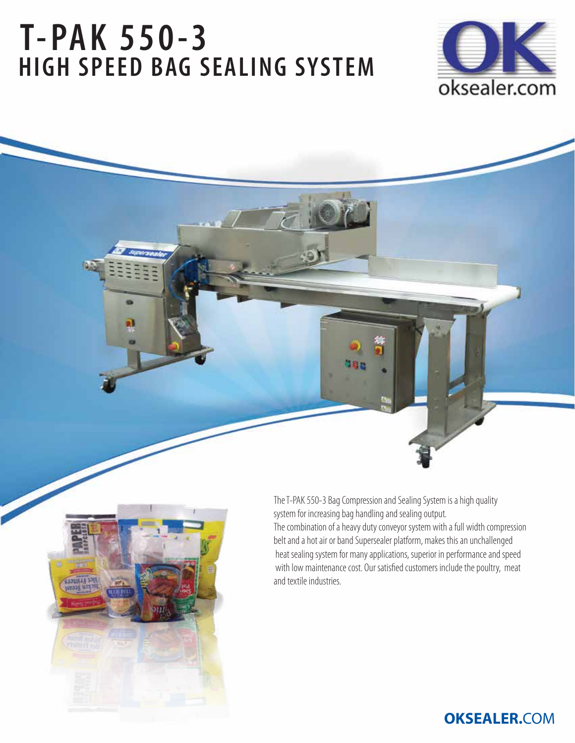# **T-PAK 550-3 HIGH SPEED BAG SEALING SYSTEM**





The T-PAK 550-3 Bag Compression and Sealing System is a high quality system for increasing bag handling and sealing output. The combination of a heavy duty conveyor system with a full width compression belt and a hot air or band Supersealer platform, makes this an unchallenged heat sealing system for many applications, superior in performance and speed with low maintenance cost. Our satisfied customers include the poultry, meat and textile industries.

## **OKSEALER.**COM